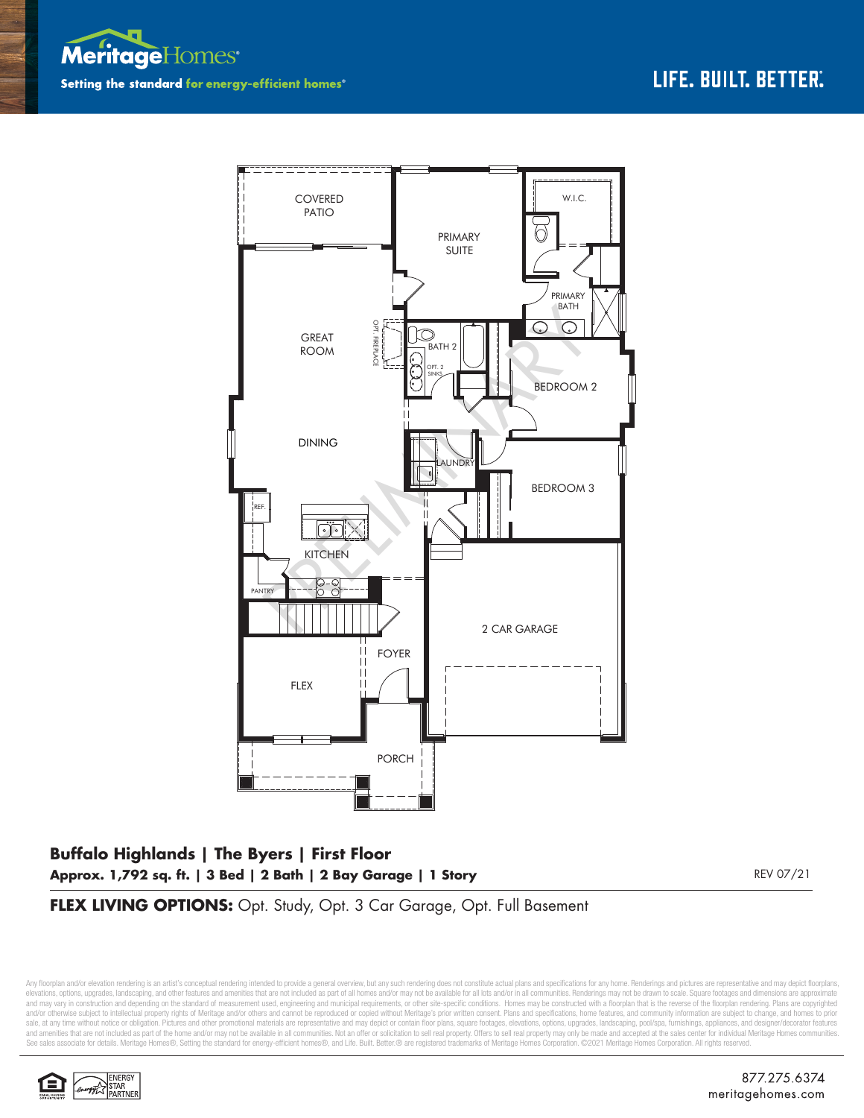



## **Buffalo Highlands | The Byers | First Floor Approx. 1,792 sq. ft. | 3 Bed | 2 Bath | 2 Bay Garage | 1 Story** REV 07/21

**FLEX LIVING OPTIONS:** Opt. Study, Opt. 3 Car Garage, Opt. Full Basement

Any floorplan and/or elevation rendering is an artist's conceptual rendering intended to provide a general overview, but any such rendering does not constitute actual plans and specifications for any home. Renderings and p elevations, options, upgrades, landscaping, and other features and amenities that are not included as part of all homes and/or may not be available for all lots and/or in all communities. Renderings may not be drawn to sca and may vary in construction and depending on the standard of measurement used, engineering and municipal requirements, or other site-specific conditions. Homes may be constructed with a floorplan that is the reverse of th and/or otherwise subject to intellectual property rights of Meritage and/or others and cannot be reproduced or copied without Meritage's prior written consent. Plans and specifications, home features, and community informa sale, at any time without notice or obligation. Pictures and other promotional materials are representative and may depict or contain floor plans, square footages, elevations, options, upgrades, landscaping, pool/spa, furn See sales associate for details. Meritage Homes®, Setting the standard for energy-efficient homes®, and Life. Built. Better. @ are registered trademarks of Meritage Homes Corporation. ©2021 Meritage Homes Corporation. All

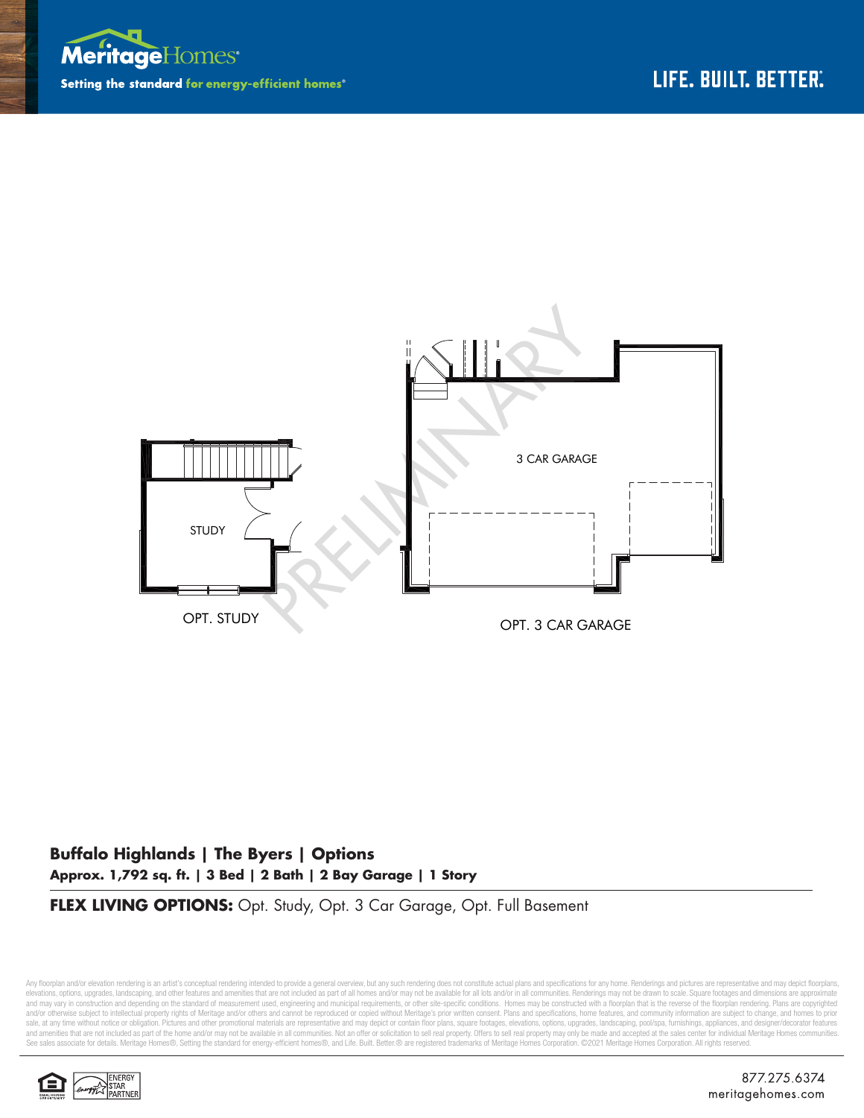



## **Buffalo Highlands | The Byers | Options Approx. 1,792 sq. ft. | 3 Bed | 2 Bath | 2 Bay Garage | 1 Story**

**FLEX LIVING OPTIONS:** Opt. Study, Opt. 3 Car Garage, Opt. Full Basement

Any floorplan and/or elevation rendering is an artist's conceptual rendering intended to provide a general overview, but any such rendering does not constitute actual plans and specifications for any home. Renderings and p elevations, options, upgrades, landscaping, and other features and amenities that are not included as part of all homes and/or may not be available for all lots and/or in all communities. Renderings may not be drawn to sca and may vary in construction and depending on the standard of measurement used, engineering and municipal requirements, or other site-specific conditions. Homes may be constructed with a floorplan that is the reverse of th and/or otherwise subject to intellectual property rights of Meritage and/or others and cannot be reproduced or copied without Meritage's prior written consent. Plans and specifications, home features, and community informa sale, at any time without notice or obligation. Pictures and other promotional materials are representative and may depict or contain floor plans, square footages, elevations, options, upgrades, landscaping, pool/spa, furn See sales associate for details. Meritage Homes®, Setting the standard for energy-efficient homes®, and Life. Built. Better.® are registered trademarks of Meritage Homes Corporation. ©2021 Meritage Homes Corporation. All r